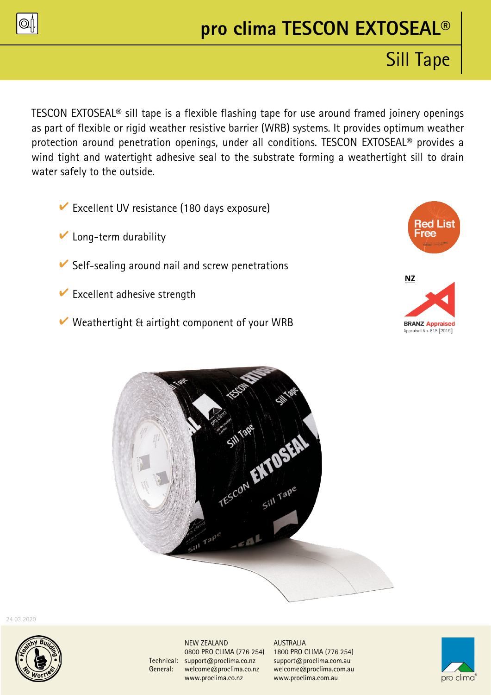

# **pro clima TESCON EXTOSEAL®**

# Sill Tape

TESCON EXTOSEAL® sill tape is a flexible flashing tape for use around framed joinery openings as part of flexible or rigid weather resistive barrier (WRB) systems. It provides optimum weather protection around penetration openings, under all conditions. TESCON EXTOSEAL® provides a wind tight and watertight adhesive seal to the substrate forming a weathertight sill to drain water safely to the outside.

- $\triangleright$  Excellent UV resistance (180 days exposure)
- $\triangleright$  Long-term durability
- $\vee$  Self-sealing around nail and screw penetrations
- $\triangleright$  Excellent adhesive strength
- $\vee$  Weathertight & airtight component of your WRB







24 03 2020



NEW ZEALAND AUSTRALIA Technical: [support@proclima.co.nz](mailto:support@proclima.co.nz) support@proclima.com.au General: [welcome@proclima.co.nz](mailto:welcome@proclima.co.nz) welcome@proclima.com.au [www.proclima.co.nz](http://www.proclima.co.nz/) www.proclima.com.au

0800 PRO CLIMA (776 254) 1800 PRO CLIMA (776 254)